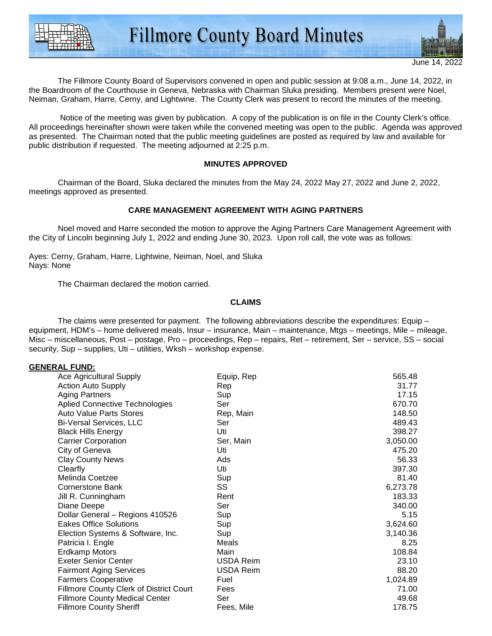

The Fillmore County Board of Supervisors convened in open and public session at 9:08 a.m., June 14, 2022, in the Boardroom of the Courthouse in Geneva, Nebraska with Chairman Sluka presiding. Members present were Noel, Neiman, Graham, Harre, Cerny, and Lightwine. The County Clerk was present to record the minutes of the meeting.

 Notice of the meeting was given by publication. A copy of the publication is on file in the County Clerk's office. All proceedings hereinafter shown were taken while the convened meeting was open to the public. Agenda was approved as presented. The Chairman noted that the public meeting guidelines are posted as required by law and available for public distribution if requested. The meeting adjourned at 2:25 p.m.

#### **MINUTES APPROVED**

Chairman of the Board, Sluka declared the minutes from the May 24, 2022 May 27, 2022 and June 2, 2022, meetings approved as presented.

#### **CARE MANAGEMENT AGREEMENT WITH AGING PARTNERS**

 Noel moved and Harre seconded the motion to approve the Aging Partners Care Management Agreement with the City of Lincoln beginning July 1, 2022 and ending June 30, 2023. Upon roll call, the vote was as follows:

Ayes: Cerny, Graham, Harre, Lightwine, Neiman, Noel, and Sluka Nays: None

The Chairman declared the motion carried.

#### **CLAIMS**

 The claims were presented for payment. The following abbreviations describe the expenditures: Equip – equipment, HDM's – home delivered meals, Insur – insurance, Main – maintenance, Mtgs – meetings, Mile – mileage, Misc – miscellaneous, Post – postage, Pro – proceedings, Rep – repairs, Ret – retirement, Ser – service, SS – social security, Sup – supplies, Uti – utilities, Wksh – workshop expense.

#### **GENERAL FUND:**

| <b>Ace Agricultural Supply</b>                 | Equip, Rep | 565.48   |
|------------------------------------------------|------------|----------|
| <b>Action Auto Supply</b>                      | Rep        | 31.77    |
| <b>Aging Partners</b>                          | Sup        | 17.15    |
| <b>Aplied Connective Technologies</b>          | Ser        | 670.70   |
| <b>Auto Value Parts Stores</b>                 | Rep, Main  | 148.50   |
| <b>Bi-Versal Services, LLC</b>                 | Ser        | 489.43   |
| <b>Black Hills Energy</b>                      | Uti        | 398.27   |
| <b>Carrier Corporation</b>                     | Ser, Main  | 3,050.00 |
| City of Geneva                                 | Uti        | 475.20   |
| <b>Clay County News</b>                        | Ads        | 56.33    |
| Clearfly                                       | Uti        | 397.30   |
| Melinda Coetzee                                | Sup        | 81.40    |
| Cornerstone Bank                               | SS         | 6,273.78 |
| Jill R. Cunningham                             | Rent       | 183.33   |
| Diane Deepe                                    | Ser        | 340.00   |
| Dollar General - Regions 410526                | Sup        | 5.15     |
| <b>Eakes Office Solutions</b>                  | Sup        | 3,624.60 |
| Election Systems & Software, Inc.              | Sup        | 3,140.36 |
| Patricia I. Engle                              | Meals      | 8.25     |
| <b>Erdkamp Motors</b>                          | Main       | 108.84   |
| <b>Exeter Senior Center</b>                    | USDA Reim  | 23.10    |
| <b>Fairmont Aging Services</b>                 | USDA Reim  | 88.20    |
| <b>Farmers Cooperative</b>                     | Fuel       | 1,024.89 |
| <b>Fillmore County Clerk of District Court</b> | Fees       | 71.00    |
| <b>Fillmore County Medical Center</b>          | Ser        | 49.68    |
| <b>Fillmore County Sheriff</b>                 | Fees, Mile | 178.75   |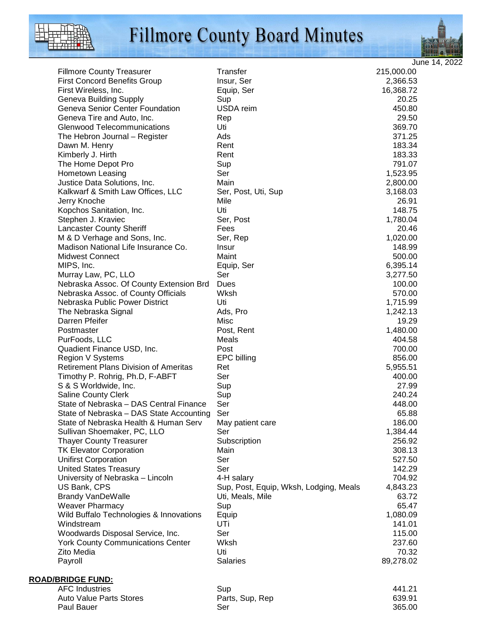

# Fillmore County Board Minutes



June 14, 2022

| <b>Fillmore County Treasurer</b>                                 | Transfer                               | 215,000.00       |
|------------------------------------------------------------------|----------------------------------------|------------------|
| <b>First Concord Benefits Group</b>                              | Insur, Ser                             | 2,366.53         |
| First Wireless, Inc.                                             | Equip, Ser                             | 16,368.72        |
| <b>Geneva Building Supply</b>                                    | Sup                                    | 20.25            |
| Geneva Senior Center Foundation                                  | USDA reim                              | 450.80           |
| Geneva Tire and Auto, Inc.                                       | Rep                                    | 29.50            |
| <b>Glenwood Telecommunications</b>                               | Uti                                    | 369.70           |
| The Hebron Journal - Register                                    | Ads                                    | 371.25           |
| Dawn M. Henry                                                    | Rent                                   | 183.34           |
| Kimberly J. Hirth                                                | Rent                                   | 183.33           |
| The Home Depot Pro                                               | Sup                                    | 791.07           |
| Hometown Leasing                                                 | Ser                                    | 1,523.95         |
| Justice Data Solutions, Inc.                                     | Main                                   | 2,800.00         |
| Kalkwarf & Smith Law Offices, LLC                                | Ser, Post, Uti, Sup                    | 3,168.03         |
| Jerry Knoche                                                     | Mile                                   | 26.91            |
| Kopchos Sanitation, Inc.                                         | Uti                                    | 148.75           |
| Stephen J. Kraviec                                               | Ser, Post                              | 1,780.04         |
| <b>Lancaster County Sheriff</b>                                  | Fees                                   | 20.46            |
| M & D Verhage and Sons, Inc.                                     | Ser, Rep                               | 1,020.00         |
| Madison National Life Insurance Co.                              | Insur                                  | 148.99           |
| <b>Midwest Connect</b>                                           | Maint                                  | 500.00           |
| MIPS, Inc.                                                       | Equip, Ser                             | 6,395.14         |
| Murray Law, PC, LLO                                              | Ser                                    | 3,277.50         |
| Nebraska Assoc. Of County Extension Brd                          | Dues                                   | 100.00           |
| Nebraska Assoc. of County Officials                              | Wksh                                   | 570.00           |
| Nebraska Public Power District                                   | Uti                                    | 1,715.99         |
| The Nebraska Signal                                              | Ads, Pro                               | 1,242.13         |
| Darren Pfeifer                                                   | Misc                                   | 19.29            |
|                                                                  |                                        |                  |
| Postmaster                                                       | Post, Rent                             | 1,480.00         |
| PurFoods, LLC                                                    | Meals<br>Post                          | 404.58           |
| Quadient Finance USD, Inc.                                       |                                        | 700.00<br>856.00 |
| Region V Systems<br><b>Retirement Plans Division of Ameritas</b> | <b>EPC</b> billing                     |                  |
|                                                                  | Ret                                    | 5,955.51         |
| Timothy P. Rohrig, Ph.D, F-ABFT                                  | Ser                                    | 400.00           |
| S & S Worldwide, Inc.                                            | Sup                                    | 27.99            |
| <b>Saline County Clerk</b>                                       | Sup                                    | 240.24           |
| State of Nebraska - DAS Central Finance                          | Ser                                    | 448.00           |
| State of Nebraska - DAS State Accounting                         | Ser                                    | 65.88            |
| State of Nebraska Health & Human Serv                            | May patient care                       | 186.00           |
| Sullivan Shoemaker, PC, LLO                                      | Ser                                    | 1,384.44         |
| <b>Thayer County Treasurer</b>                                   | Subscription                           | 256.92           |
| <b>TK Elevator Corporation</b>                                   | Main                                   | 308.13           |
| <b>Unifirst Corporation</b>                                      | Ser                                    | 527.50           |
| <b>United States Treasury</b>                                    | Ser                                    | 142.29           |
| University of Nebraska - Lincoln                                 | 4-H salary                             | 704.92           |
| US Bank, CPS                                                     | Sup, Post, Equip, Wksh, Lodging, Meals | 4,843.23         |
| <b>Brandy VanDeWalle</b>                                         | Uti, Meals, Mile                       | 63.72            |
| <b>Weaver Pharmacy</b>                                           | Sup                                    | 65.47            |
| Wild Buffalo Technologies & Innovations                          | Equip                                  | 1,080.09         |
| Windstream                                                       | UTi                                    | 141.01           |
| Woodwards Disposal Service, Inc.                                 | Ser                                    | 115.00           |
| <b>York County Communications Center</b>                         | Wksh                                   | 237.60           |
| Zito Media                                                       | Uti                                    | 70.32            |
| Payroll                                                          | <b>Salaries</b>                        | 89,278.02        |
| <b>ROAD/BRIDGE FUND:</b>                                         |                                        |                  |
| <b>AFC Industries</b>                                            | Sup                                    | 441.21           |
| Auto Value Parts Stores                                          | Parts, Sup, Rep                        | 639.91           |
| Paul Bauer                                                       | Ser                                    | 365.00           |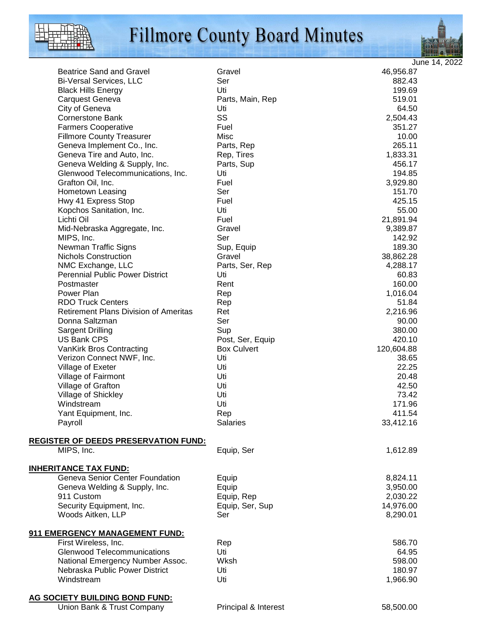# **Fillmore County Board Minutes**





June 14, 2022

| <b>Beatrice Sand and Gravel</b>                                        | Gravel             | 46,956.87  |
|------------------------------------------------------------------------|--------------------|------------|
| <b>Bi-Versal Services, LLC</b>                                         | Ser                | 882.43     |
| <b>Black Hills Energy</b>                                              | Uti                | 199.69     |
| Carquest Geneva                                                        | Parts, Main, Rep   | 519.01     |
| City of Geneva                                                         | Uti                | 64.50      |
| <b>Cornerstone Bank</b>                                                | SS                 | 2,504.43   |
| <b>Farmers Cooperative</b>                                             | Fuel               | 351.27     |
| <b>Fillmore County Treasurer</b>                                       | Misc               | 10.00      |
| Geneva Implement Co., Inc.                                             | Parts, Rep         | 265.11     |
| Geneva Tire and Auto, Inc.                                             | Rep, Tires         | 1,833.31   |
| Geneva Welding & Supply, Inc.                                          | Parts, Sup         | 456.17     |
| Glenwood Telecommunications, Inc.                                      | Uti                | 194.85     |
| Grafton Oil, Inc.                                                      | Fuel               | 3,929.80   |
| Hometown Leasing                                                       | Ser                | 151.70     |
| Hwy 41 Express Stop                                                    | Fuel               | 425.15     |
| Kopchos Sanitation, Inc.                                               | Uti                | 55.00      |
| Lichti Oil                                                             | Fuel               | 21,891.94  |
| Mid-Nebraska Aggregate, Inc.                                           | Gravel             | 9,389.87   |
| MIPS, Inc.                                                             | Ser                | 142.92     |
| <b>Newman Traffic Signs</b>                                            | Sup, Equip         | 189.30     |
| <b>Nichols Construction</b>                                            | Gravel             | 38,862.28  |
|                                                                        |                    | 4,288.17   |
| NMC Exchange, LLC                                                      | Parts, Ser, Rep    |            |
| <b>Perennial Public Power District</b>                                 | Uti                | 60.83      |
| Postmaster                                                             | Rent               | 160.00     |
| Power Plan                                                             | Rep                | 1,016.04   |
| <b>RDO Truck Centers</b>                                               | Rep                | 51.84      |
| <b>Retirement Plans Division of Ameritas</b>                           | Ret                | 2,216.96   |
| Donna Saltzman                                                         | Ser                | 90.00      |
| <b>Sargent Drilling</b>                                                | Sup                | 380.00     |
| US Bank CPS                                                            | Post, Ser, Equip   | 420.10     |
| VanKirk Bros Contracting                                               | <b>Box Culvert</b> | 120,604.88 |
| Verizon Connect NWF, Inc.                                              | Uti                | 38.65      |
| Village of Exeter                                                      | Uti                | 22.25      |
| Village of Fairmont                                                    | Uti                | 20.48      |
| Village of Grafton                                                     | Uti                | 42.50      |
| Village of Shickley                                                    | Uti                | 73.42      |
| Windstream                                                             | Uti                | 171.96     |
| Yant Equipment, Inc.                                                   | Rep                | 411.54     |
| Payroll                                                                | <b>Salaries</b>    | 33,412.16  |
|                                                                        |                    |            |
| <b>REGISTER OF DEEDS PRESERVATION FUND:</b>                            |                    |            |
| MIPS, Inc.                                                             | Equip, Ser         | 1,612.89   |
|                                                                        |                    |            |
| <b>INHERITANCE TAX FUND:</b><br><b>Geneva Senior Center Foundation</b> | Equip              | 8,824.11   |
|                                                                        |                    | 3,950.00   |
| Geneva Welding & Supply, Inc.<br>911 Custom                            | Equip              |            |
|                                                                        | Equip, Rep         | 2,030.22   |
| Security Equipment, Inc.                                               | Equip, Ser, Sup    | 14,976.00  |
| Woods Aitken, LLP                                                      | Ser                | 8,290.01   |
| 911 EMERGENCY MANAGEMENT FUND:                                         |                    |            |
| First Wireless, Inc.                                                   | Rep                | 586.70     |
| <b>Glenwood Telecommunications</b>                                     | Uti                | 64.95      |
| National Emergency Number Assoc.                                       | Wksh               | 598.00     |
| Nebraska Public Power District                                         | Uti                | 180.97     |
| Windstream                                                             | Uti                | 1,966.90   |
|                                                                        |                    |            |
| AG SOCIETY BUILDING BOND FUND:                                         |                    |            |

Union Bank & Trust Company **Principal & Interest** 68,500.00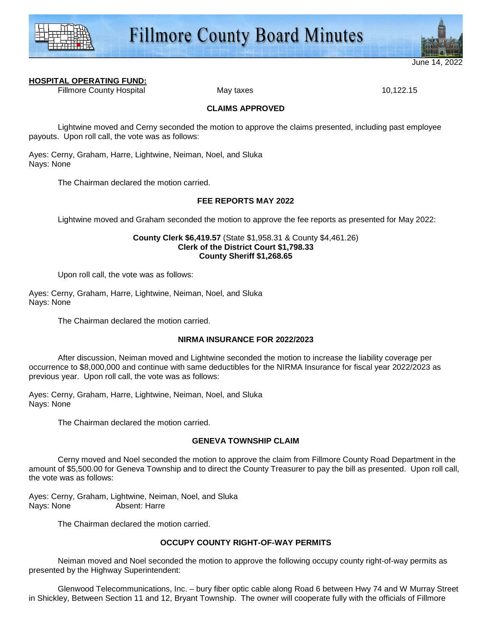



June 14.

# **HOSPITAL OPERATING FUND:**

Fillmore County Hospital **May taxes** May taxes **10,122.15** 

#### **CLAIMS APPROVED**

Lightwine moved and Cerny seconded the motion to approve the claims presented, including past employee payouts. Upon roll call, the vote was as follows:

Ayes: Cerny, Graham, Harre, Lightwine, Neiman, Noel, and Sluka Nays: None

The Chairman declared the motion carried.

# **FEE REPORTS MAY 2022**

Lightwine moved and Graham seconded the motion to approve the fee reports as presented for May 2022:

#### **County Clerk \$6,419.57** (State \$1,958.31 & County \$4,461.26) **Clerk of the District Court \$1,798.33 County Sheriff \$1,268.65**

Upon roll call, the vote was as follows:

Ayes: Cerny, Graham, Harre, Lightwine, Neiman, Noel, and Sluka Nays: None

The Chairman declared the motion carried.

#### **NIRMA INSURANCE FOR 2022/2023**

 After discussion, Neiman moved and Lightwine seconded the motion to increase the liability coverage per occurrence to \$8,000,000 and continue with same deductibles for the NIRMA Insurance for fiscal year 2022/2023 as previous year. Upon roll call, the vote was as follows:

Ayes: Cerny, Graham, Harre, Lightwine, Neiman, Noel, and Sluka Nays: None

The Chairman declared the motion carried.

#### **GENEVA TOWNSHIP CLAIM**

 Cerny moved and Noel seconded the motion to approve the claim from Fillmore County Road Department in the amount of \$5,500.00 for Geneva Township and to direct the County Treasurer to pay the bill as presented. Upon roll call, the vote was as follows:

Ayes: Cerny, Graham, Lightwine, Neiman, Noel, and Sluka Nays: None Absent: Harre

The Chairman declared the motion carried.

# **OCCUPY COUNTY RIGHT-OF-WAY PERMITS**

Neiman moved and Noel seconded the motion to approve the following occupy county right-of-way permits as presented by the Highway Superintendent:

 Glenwood Telecommunications, Inc. – bury fiber optic cable along Road 6 between Hwy 74 and W Murray Street in Shickley, Between Section 11 and 12, Bryant Township. The owner will cooperate fully with the officials of Fillmore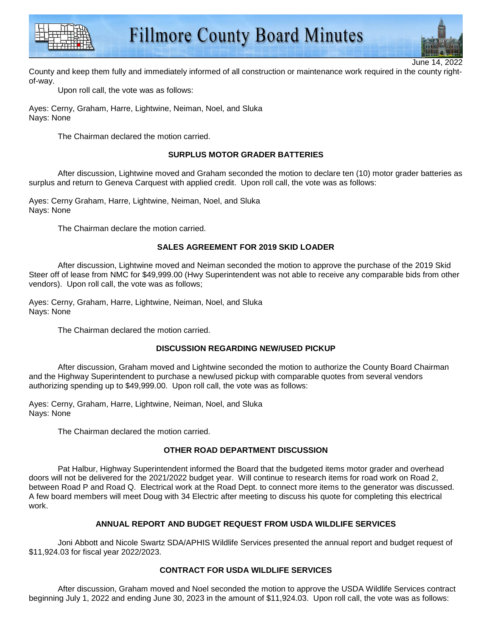



June 14

County and keep them fully and immediately informed of all construction or maintenance work required in the county rightof-way.

Upon roll call, the vote was as follows:

Ayes: Cerny, Graham, Harre, Lightwine, Neiman, Noel, and Sluka Nays: None

The Chairman declared the motion carried.

# **SURPLUS MOTOR GRADER BATTERIES**

 After discussion, Lightwine moved and Graham seconded the motion to declare ten (10) motor grader batteries as surplus and return to Geneva Carquest with applied credit. Upon roll call, the vote was as follows:

Ayes: Cerny Graham, Harre, Lightwine, Neiman, Noel, and Sluka Nays: None

The Chairman declare the motion carried.

# **SALES AGREEMENT FOR 2019 SKID LOADER**

 After discussion, Lightwine moved and Neiman seconded the motion to approve the purchase of the 2019 Skid Steer off of lease from NMC for \$49,999.00 (Hwy Superintendent was not able to receive any comparable bids from other vendors). Upon roll call, the vote was as follows;

Ayes: Cerny, Graham, Harre, Lightwine, Neiman, Noel, and Sluka Nays: None

The Chairman declared the motion carried.

# **DISCUSSION REGARDING NEW/USED PICKUP**

 After discussion, Graham moved and Lightwine seconded the motion to authorize the County Board Chairman and the Highway Superintendent to purchase a new/used pickup with comparable quotes from several vendors authorizing spending up to \$49,999.00. Upon roll call, the vote was as follows:

Ayes: Cerny, Graham, Harre, Lightwine, Neiman, Noel, and Sluka Nays: None

The Chairman declared the motion carried.

# **OTHER ROAD DEPARTMENT DISCUSSION**

 Pat Halbur, Highway Superintendent informed the Board that the budgeted items motor grader and overhead doors will not be delivered for the 2021/2022 budget year. Will continue to research items for road work on Road 2, between Road P and Road Q. Electrical work at the Road Dept. to connect more items to the generator was discussed. A few board members will meet Doug with 34 Electric after meeting to discuss his quote for completing this electrical work.

# **ANNUAL REPORT AND BUDGET REQUEST FROM USDA WILDLIFE SERVICES**

Joni Abbott and Nicole Swartz SDA/APHIS Wildlife Services presented the annual report and budget request of \$11,924.03 for fiscal year 2022/2023.

# **CONTRACT FOR USDA WILDLIFE SERVICES**

 After discussion, Graham moved and Noel seconded the motion to approve the USDA Wildlife Services contract beginning July 1, 2022 and ending June 30, 2023 in the amount of \$11,924.03. Upon roll call, the vote was as follows: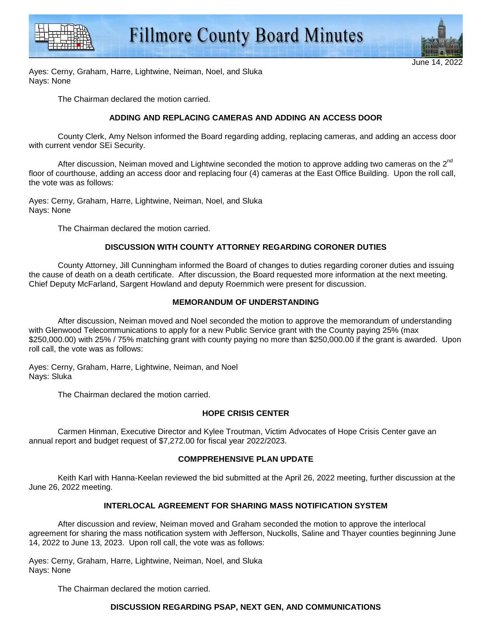



Ayes: Cerny, Graham, Harre, Lightwine, Neiman, Noel, and Sluka Nays: None

The Chairman declared the motion carried.

# **ADDING AND REPLACING CAMERAS AND ADDING AN ACCESS DOOR**

 County Clerk, Amy Nelson informed the Board regarding adding, replacing cameras, and adding an access door with current vendor SEi Security.

After discussion, Neiman moved and Lightwine seconded the motion to approve adding two cameras on the  $2^{nd}$ floor of courthouse, adding an access door and replacing four (4) cameras at the East Office Building. Upon the roll call, the vote was as follows:

Ayes: Cerny, Graham, Harre, Lightwine, Neiman, Noel, and Sluka Nays: None

The Chairman declared the motion carried.

# **DISCUSSION WITH COUNTY ATTORNEY REGARDING CORONER DUTIES**

 County Attorney, Jill Cunningham informed the Board of changes to duties regarding coroner duties and issuing the cause of death on a death certificate. After discussion, the Board requested more information at the next meeting. Chief Deputy McFarland, Sargent Howland and deputy Roemmich were present for discussion.

# **MEMORANDUM OF UNDERSTANDING**

 After discussion, Neiman moved and Noel seconded the motion to approve the memorandum of understanding with Glenwood Telecommunications to apply for a new Public Service grant with the County paying 25% (max \$250,000.00) with 25% / 75% matching grant with county paying no more than \$250,000.00 if the grant is awarded. Upon roll call, the vote was as follows:

Ayes: Cerny, Graham, Harre, Lightwine, Neiman, and Noel Nays: Sluka

The Chairman declared the motion carried.

# **HOPE CRISIS CENTER**

 Carmen Hinman, Executive Director and Kylee Troutman, Victim Advocates of Hope Crisis Center gave an annual report and budget request of \$7,272.00 for fiscal year 2022/2023.

# **COMPPREHENSIVE PLAN UPDATE**

 Keith Karl with Hanna-Keelan reviewed the bid submitted at the April 26, 2022 meeting, further discussion at the June 26, 2022 meeting.

# **INTERLOCAL AGREEMENT FOR SHARING MASS NOTIFICATION SYSTEM**

 After discussion and review, Neiman moved and Graham seconded the motion to approve the interlocal agreement for sharing the mass notification system with Jefferson, Nuckolls, Saline and Thayer counties beginning June 14, 2022 to June 13, 2023. Upon roll call, the vote was as follows:

Ayes: Cerny, Graham, Harre, Lightwine, Neiman, Noel, and Sluka Nays: None

The Chairman declared the motion carried.

# **DISCUSSION REGARDING PSAP, NEXT GEN, AND COMMUNICATIONS**